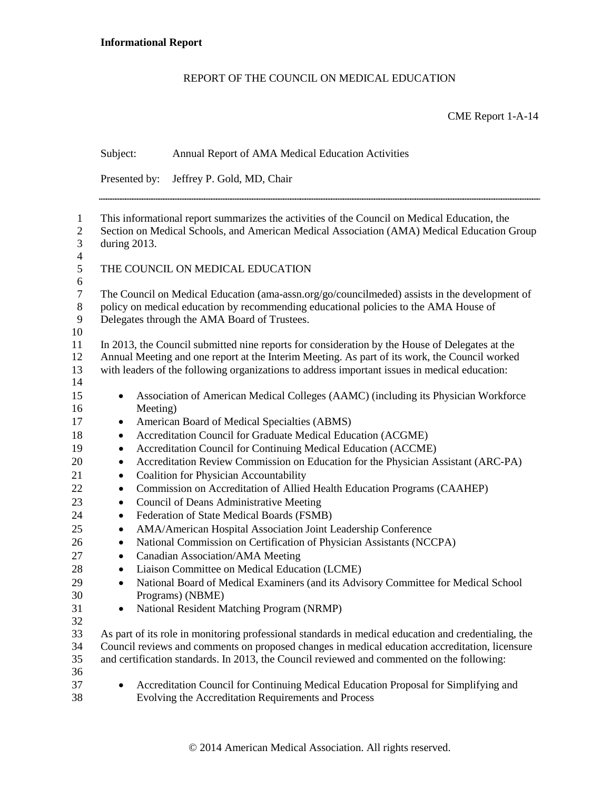## REPORT OF THE COUNCIL ON MEDICAL EDUCATION

## CME Report 1-A-14

|                                                    | Subject:                                                                                                                                                                                                                                                                                         | Annual Report of AMA Medical Education Activities                                                                                          |  |
|----------------------------------------------------|--------------------------------------------------------------------------------------------------------------------------------------------------------------------------------------------------------------------------------------------------------------------------------------------------|--------------------------------------------------------------------------------------------------------------------------------------------|--|
|                                                    | Presented by:                                                                                                                                                                                                                                                                                    | Jeffrey P. Gold, MD, Chair                                                                                                                 |  |
| $\mathbf{1}$<br>$\mathbf{2}$<br>3                  | This informational report summarizes the activities of the Council on Medical Education, the<br>Section on Medical Schools, and American Medical Association (AMA) Medical Education Group<br>during 2013.                                                                                       |                                                                                                                                            |  |
| $\overline{4}$<br>5                                |                                                                                                                                                                                                                                                                                                  | THE COUNCIL ON MEDICAL EDUCATION                                                                                                           |  |
| $\sqrt{6}$<br>$\boldsymbol{7}$<br>$8\,$<br>9<br>10 | The Council on Medical Education (ama-assn.org/go/councilmeded) assists in the development of<br>policy on medical education by recommending educational policies to the AMA House of<br>Delegates through the AMA Board of Trustees.                                                            |                                                                                                                                            |  |
| 11<br>12<br>13<br>14                               | In 2013, the Council submitted nine reports for consideration by the House of Delegates at the<br>Annual Meeting and one report at the Interim Meeting. As part of its work, the Council worked<br>with leaders of the following organizations to address important issues in medical education: |                                                                                                                                            |  |
| 15<br>16                                           | $\bullet$<br>Meeting)                                                                                                                                                                                                                                                                            | Association of American Medical Colleges (AAMC) (including its Physician Workforce                                                         |  |
| 17                                                 | $\bullet$                                                                                                                                                                                                                                                                                        | American Board of Medical Specialties (ABMS)                                                                                               |  |
| 18                                                 | $\bullet$                                                                                                                                                                                                                                                                                        | Accreditation Council for Graduate Medical Education (ACGME)                                                                               |  |
| 19                                                 | $\bullet$                                                                                                                                                                                                                                                                                        | Accreditation Council for Continuing Medical Education (ACCME)                                                                             |  |
| 20                                                 | $\bullet$                                                                                                                                                                                                                                                                                        | Accreditation Review Commission on Education for the Physician Assistant (ARC-PA)                                                          |  |
| 21                                                 | $\bullet$                                                                                                                                                                                                                                                                                        | <b>Coalition for Physician Accountability</b>                                                                                              |  |
| 22                                                 | $\bullet$                                                                                                                                                                                                                                                                                        | Commission on Accreditation of Allied Health Education Programs (CAAHEP)                                                                   |  |
| 23                                                 | $\bullet$                                                                                                                                                                                                                                                                                        | Council of Deans Administrative Meeting                                                                                                    |  |
| 24                                                 | $\bullet$                                                                                                                                                                                                                                                                                        | Federation of State Medical Boards (FSMB)                                                                                                  |  |
| 25                                                 | $\bullet$                                                                                                                                                                                                                                                                                        | AMA/American Hospital Association Joint Leadership Conference                                                                              |  |
| 26                                                 | $\bullet$                                                                                                                                                                                                                                                                                        | National Commission on Certification of Physician Assistants (NCCPA)                                                                       |  |
| 27                                                 | $\bullet$                                                                                                                                                                                                                                                                                        | Canadian Association/AMA Meeting                                                                                                           |  |
| 28                                                 | $\bullet$                                                                                                                                                                                                                                                                                        | Liaison Committee on Medical Education (LCME)                                                                                              |  |
| 29                                                 | $\bullet$                                                                                                                                                                                                                                                                                        | National Board of Medical Examiners (and its Advisory Committee for Medical School                                                         |  |
| 30                                                 |                                                                                                                                                                                                                                                                                                  | Programs) (NBME)                                                                                                                           |  |
| 31                                                 |                                                                                                                                                                                                                                                                                                  | National Resident Matching Program (NRMP)                                                                                                  |  |
| 32                                                 |                                                                                                                                                                                                                                                                                                  |                                                                                                                                            |  |
| 33                                                 | As part of its role in monitoring professional standards in medical education and credentialing, the                                                                                                                                                                                             |                                                                                                                                            |  |
| 34                                                 | Council reviews and comments on proposed changes in medical education accreditation, licensure                                                                                                                                                                                                   |                                                                                                                                            |  |
| 35                                                 | and certification standards. In 2013, the Council reviewed and commented on the following:                                                                                                                                                                                                       |                                                                                                                                            |  |
| 36<br>37<br>38                                     | ٠                                                                                                                                                                                                                                                                                                | Accreditation Council for Continuing Medical Education Proposal for Simplifying and<br>Evolving the Accreditation Requirements and Process |  |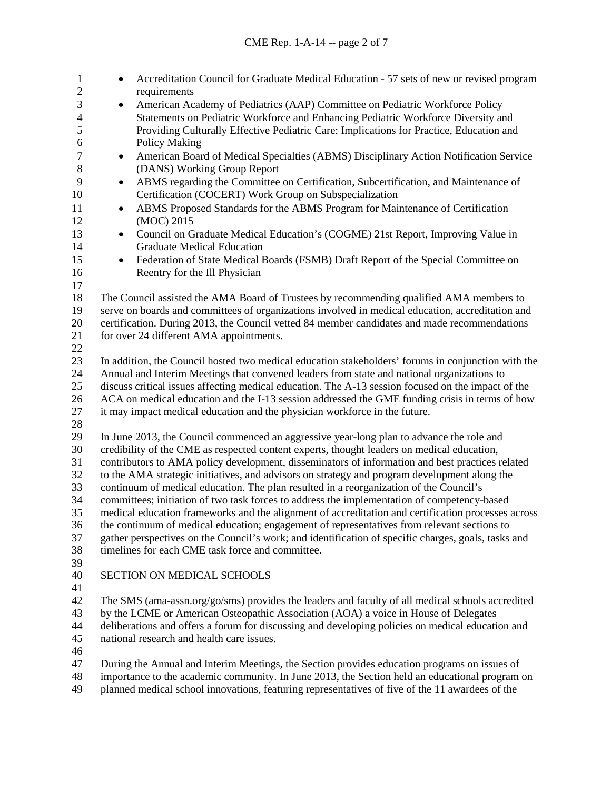| $\mathbf{1}$<br>$\mathbf{2}$ | Accreditation Council for Graduate Medical Education - 57 sets of new or revised program<br>$\bullet$                                                                          |  |  |
|------------------------------|--------------------------------------------------------------------------------------------------------------------------------------------------------------------------------|--|--|
| 3                            | requirements                                                                                                                                                                   |  |  |
|                              | American Academy of Pediatrics (AAP) Committee on Pediatric Workforce Policy<br>$\bullet$<br>Statements on Pediatric Workforce and Enhancing Pediatric Workforce Diversity and |  |  |
| $\overline{4}$<br>5          |                                                                                                                                                                                |  |  |
| $\sqrt{6}$                   | Providing Culturally Effective Pediatric Care: Implications for Practice, Education and<br>Policy Making                                                                       |  |  |
| $\tau$                       | American Board of Medical Specialties (ABMS) Disciplinary Action Notification Service<br>$\bullet$                                                                             |  |  |
| $8\,$                        | (DANS) Working Group Report                                                                                                                                                    |  |  |
| 9                            | ABMS regarding the Committee on Certification, Subcertification, and Maintenance of<br>$\bullet$                                                                               |  |  |
| 10                           | Certification (COCERT) Work Group on Subspecialization                                                                                                                         |  |  |
| 11                           | ABMS Proposed Standards for the ABMS Program for Maintenance of Certification<br>$\bullet$                                                                                     |  |  |
| 12                           | (MOC) 2015                                                                                                                                                                     |  |  |
| 13                           | Council on Graduate Medical Education's (COGME) 21st Report, Improving Value in<br>$\bullet$                                                                                   |  |  |
| 14                           | <b>Graduate Medical Education</b>                                                                                                                                              |  |  |
| 15                           | Federation of State Medical Boards (FSMB) Draft Report of the Special Committee on<br>$\bullet$                                                                                |  |  |
| 16                           | Reentry for the Ill Physician                                                                                                                                                  |  |  |
| 17                           |                                                                                                                                                                                |  |  |
| 18                           | The Council assisted the AMA Board of Trustees by recommending qualified AMA members to                                                                                        |  |  |
| 19                           | serve on boards and committees of organizations involved in medical education, accreditation and                                                                               |  |  |
| 20                           | certification. During 2013, the Council vetted 84 member candidates and made recommendations                                                                                   |  |  |
| 21                           | for over 24 different AMA appointments.                                                                                                                                        |  |  |
| 22                           |                                                                                                                                                                                |  |  |
| 23                           | In addition, the Council hosted two medical education stakeholders' forums in conjunction with the                                                                             |  |  |
| 24                           | Annual and Interim Meetings that convened leaders from state and national organizations to                                                                                     |  |  |
| 25                           | discuss critical issues affecting medical education. The A-13 session focused on the impact of the                                                                             |  |  |
| 26                           | ACA on medical education and the I-13 session addressed the GME funding crisis in terms of how                                                                                 |  |  |
| 27<br>28                     | it may impact medical education and the physician workforce in the future.                                                                                                     |  |  |
| 29                           | In June 2013, the Council commenced an aggressive year-long plan to advance the role and                                                                                       |  |  |
| 30                           | credibility of the CME as respected content experts, thought leaders on medical education,                                                                                     |  |  |
| 31                           | contributors to AMA policy development, disseminators of information and best practices related                                                                                |  |  |
| 32                           | to the AMA strategic initiatives, and advisors on strategy and program development along the                                                                                   |  |  |
| 33                           | continuum of medical education. The plan resulted in a reorganization of the Council's                                                                                         |  |  |
| 34                           | committees; initiation of two task forces to address the implementation of competency-based                                                                                    |  |  |
| 35                           | medical education frameworks and the alignment of accreditation and certification processes across                                                                             |  |  |
| 36                           | the continuum of medical education; engagement of representatives from relevant sections to                                                                                    |  |  |
| 37                           | gather perspectives on the Council's work; and identification of specific charges, goals, tasks and                                                                            |  |  |
| 38                           | timelines for each CME task force and committee.                                                                                                                               |  |  |
| 39                           |                                                                                                                                                                                |  |  |
| 40                           | SECTION ON MEDICAL SCHOOLS                                                                                                                                                     |  |  |
| 41                           |                                                                                                                                                                                |  |  |
| 42                           | The SMS (ama-assn.org/go/sms) provides the leaders and faculty of all medical schools accredited                                                                               |  |  |
| 43                           | by the LCME or American Osteopathic Association (AOA) a voice in House of Delegates                                                                                            |  |  |
| 44                           | deliberations and offers a forum for discussing and developing policies on medical education and                                                                               |  |  |
| 45                           | national research and health care issues.                                                                                                                                      |  |  |
| 46                           |                                                                                                                                                                                |  |  |
| 47                           | During the Annual and Interim Meetings, the Section provides education programs on issues of                                                                                   |  |  |

 importance to the academic community. In June 2013, the Section held an educational program on 49 planned medical school innovations, featuring representatives of five of the 11 awardees of the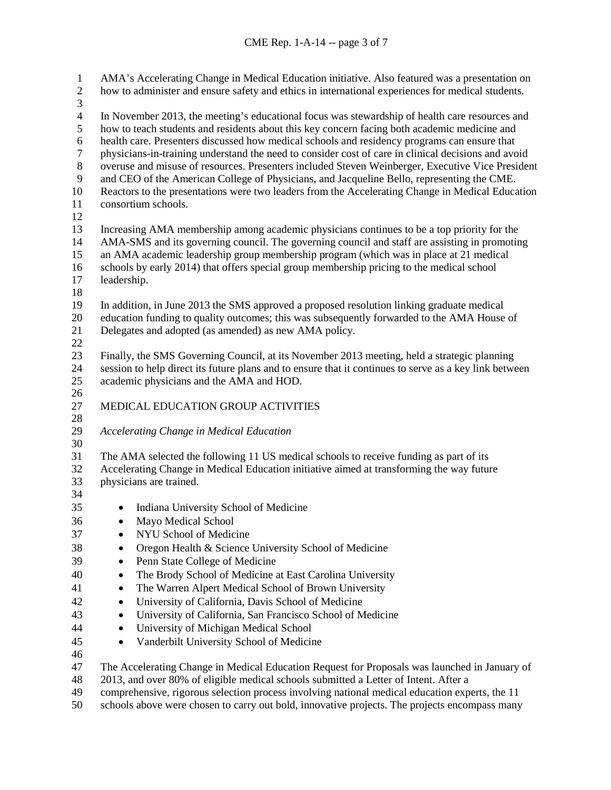AMA's Accelerating Change in Medical Education initiative. Also featured was a presentation on how to administer and ensure safety and ethics in international experiences for medical students. 3<br>4 4 In November 2013, the meeting's educational focus was stewardship of health care resources and<br>5 how to teach students and residents about this key concern facing both academic medicine and how to teach students and residents about this key concern facing both academic medicine and 6 health care. Presenters discussed how medical schools and residency programs can ensure that<br>7 by physicians-in-training understand the need to consider cost of care in clinical decisions and ave physicians-in-training understand the need to consider cost of care in clinical decisions and avoid overuse and misuse of resources. Presenters included Steven Weinberger, Executive Vice President and CEO of the American College of Physicians, and Jacqueline Bello, representing the CME. Reactors to the presentations were two leaders from the Accelerating Change in Medical Education consortium schools. Increasing AMA membership among academic physicians continues to be a top priority for the AMA-SMS and its governing council. The governing council and staff are assisting in promoting an AMA academic leadership group membership program (which was in place at 21 medical schools by early 2014) that offers special group membership pricing to the medical school leadership. In addition, in June 2013 the SMS approved a proposed resolution linking graduate medical 20 education funding to quality outcomes; this was subsequently forwarded to the AMA House of 21 Delegates and adopted (as amended) as new AMA policy. Delegates and adopted (as amended) as new AMA policy. Finally, the SMS Governing Council, at its November 2013 meeting, held a strategic planning session to help direct its future plans and to ensure that it continues to serve as a key link between academic physicians and the AMA and HOD. MEDICAL EDUCATION GROUP ACTIVITIES *Accelerating Change in Medical Education* The AMA selected the following 11 US medical schools to receive funding as part of its Accelerating Change in Medical Education initiative aimed at transforming the way future physicians are trained. • Indiana University School of Medicine • Mayo Medical School • NYU School of Medicine • Oregon Health & Science University School of Medicine • Penn State College of Medicine • The Brody School of Medicine at East Carolina University • The Warren Alpert Medical School of Brown University • University of California, Davis School of Medicine • University of California, San Francisco School of Medicine • University of Michigan Medical School • Vanderbilt University School of Medicine The Accelerating Change in Medical Education Request for Proposals was launched in January of 2013, and over 80% of eligible medical schools submitted a Letter of Intent. After a comprehensive, rigorous selection process involving national medical education experts, the 11

schools above were chosen to carry out bold, innovative projects. The projects encompass many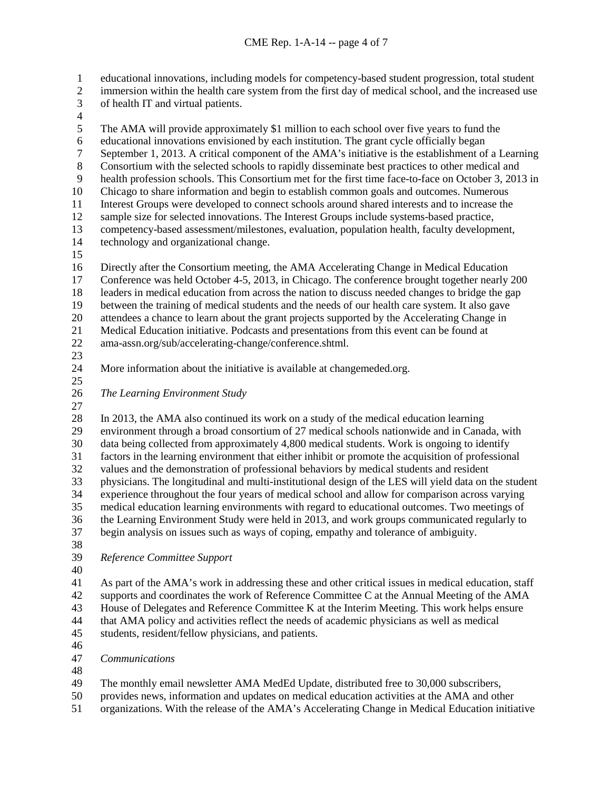educational innovations, including models for competency-based student progression, total student

- immersion within the health care system from the first day of medical school, and the increased use
- of health IT and virtual patients.
- $\frac{4}{5}$

The AMA will provide approximately \$1 million to each school over five years to fund the

- 
- 6 educational innovations envisioned by each institution. The grant cycle officially began<br>
5 September 1, 2013. A critical component of the AMA's initiative is the establishment of 7 September 1, 2013. A critical component of the AMA's initiative is the establishment of a Learning<br>8 Consortium with the selected schools to rapidly disseminate best practices to other medical and
- Consortium with the selected schools to rapidly disseminate best practices to other medical and
- health profession schools. This Consortium met for the first time face-to-face on October 3, 2013 in
- Chicago to share information and begin to establish common goals and outcomes. Numerous
- Interest Groups were developed to connect schools around shared interests and to increase the
- sample size for selected innovations. The Interest Groups include systems-based practice,
- 13 competency-based assessment/milestones, evaluation, population health, faculty development, 14 technology and organizational change. technology and organizational change.
- 
- Directly after the Consortium meeting, the AMA Accelerating Change in Medical Education
- Conference was held October 4-5, 2013, in Chicago. The conference brought together nearly 200 leaders in medical education from across the nation to discuss needed changes to bridge the gap
- between the training of medical students and the needs of our health care system. It also gave
- 
- 20 attendees a chance to learn about the grant projects supported by the Accelerating Change in<br>21 Medical Education initiative. Podcasts and presentations from this event can be found at Medical Education initiative. Podcasts and presentations from this event can be found at
- ama-assn.org/sub/accelerating-change/conference.shtml.
- 
- More information about the initiative is available at changemeded.org.
- 
- *The Learning Environment Study*
- 
- 
- In 2013, the AMA also continued its work on a study of the medical education learning environment through a broad consortium of 27 medical schools nationwide and in Canada, with data being collected from approximately 4,800 medical students. Work is ongoing to identify factors in the learning environment that either inhibit or promote the acquisition of professional values and the demonstration of professional behaviors by medical students and resident physicians. The longitudinal and multi-institutional design of the LES will yield data on the student experience throughout the four years of medical school and allow for comparison across varying medical education learning environments with regard to educational outcomes. Two meetings of the Learning Environment Study were held in 2013, and work groups communicated regularly to begin analysis on issues such as ways of coping, empathy and tolerance of ambiguity.
- 
- *Reference Committee Support*
- 
- As part of the AMA's work in addressing these and other critical issues in medical education, staff supports and coordinates the work of Reference Committee C at the Annual Meeting of the AMA House of Delegates and Reference Committee K at the Interim Meeting. This work helps ensure that AMA policy and activities reflect the needs of academic physicians as well as medical students, resident/fellow physicians, and patients.
- 
- *Communications*
- 
- The monthly email newsletter AMA MedEd Update, distributed free to 30,000 subscribers,
- provides news, information and updates on medical education activities at the AMA and other
- organizations. With the release of the AMA's Accelerating Change in Medical Education initiative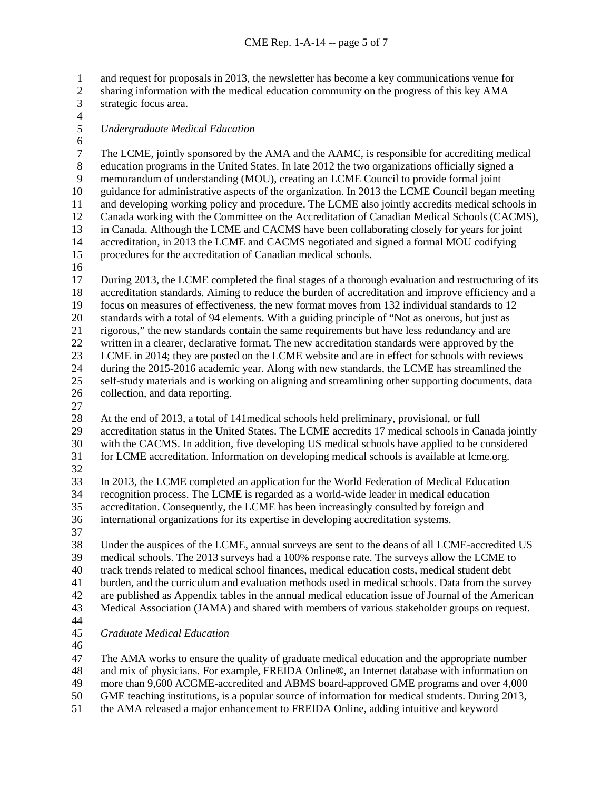and request for proposals in 2013, the newsletter has become a key communications venue for

- sharing information with the medical education community on the progress of this key AMA strategic focus area.
- $\frac{4}{5}$

## *Undergraduate Medical Education*

6<br>7 The LCME, jointly sponsored by the AMA and the AAMC, is responsible for accrediting medical<br>8 education programs in the United States. In late 2012 the two organizations officially signed a education programs in the United States. In late 2012 the two organizations officially signed a memorandum of understanding (MOU), creating an LCME Council to provide formal joint guidance for administrative aspects of the organization. In 2013 the LCME Council began meeting and developing working policy and procedure. The LCME also jointly accredits medical schools in Canada working with the Committee on the Accreditation of Canadian Medical Schools (CACMS), 13 in Canada. Although the LCME and CACMS have been collaborating closely for years for joint<br>14 accreditation, in 2013 the LCME and CACMS negotiated and signed a formal MOU codifying accreditation, in 2013 the LCME and CACMS negotiated and signed a formal MOU codifying procedures for the accreditation of Canadian medical schools.

 During 2013, the LCME completed the final stages of a thorough evaluation and restructuring of its accreditation standards. Aiming to reduce the burden of accreditation and improve efficiency and a focus on measures of effectiveness, the new format moves from 132 individual standards to 12 20 standards with a total of 94 elements. With a guiding principle of "Not as onerous, but just as rigorous," the new standards contain the same requirements but have less redundancy and are rigorous," the new standards contain the same requirements but have less redundancy and are written in a clearer, declarative format. The new accreditation standards were approved by the LCME in 2014; they are posted on the LCME website and are in effect for schools with reviews during the 2015-2016 academic year. Along with new standards, the LCME has streamlined the self-study materials and is working on aligning and streamlining other supporting documents, data collection, and data reporting.

 At the end of 2013, a total of 141medical schools held preliminary, provisional, or full accreditation status in the United States. The LCME accredits 17 medical schools in Canada jointly with the CACMS. In addition, five developing US medical schools have applied to be considered for LCME accreditation. Information on developing medical schools is available at lcme.org.

 In 2013, the LCME completed an application for the World Federation of Medical Education recognition process. The LCME is regarded as a world-wide leader in medical education accreditation. Consequently, the LCME has been increasingly consulted by foreign and international organizations for its expertise in developing accreditation systems.

 Under the auspices of the LCME, annual surveys are sent to the deans of all LCME-accredited US medical schools. The 2013 surveys had a 100% response rate. The surveys allow the LCME to track trends related to medical school finances, medical education costs, medical student debt burden, and the curriculum and evaluation methods used in medical schools. Data from the survey are published as Appendix tables in the annual medical education issue of Journal of the American Medical Association (JAMA) and shared with members of various stakeholder groups on request.

- 
- *Graduate Medical Education*
- 

The AMA works to ensure the quality of graduate medical education and the appropriate number

and mix of physicians. For example, FREIDA Online®, an Internet database with information on

- more than 9,600 ACGME-accredited and ABMS board-approved GME programs and over 4,000
- GME teaching institutions, is a popular source of information for medical students. During 2013,
- the AMA released a major enhancement to FREIDA Online, adding intuitive and keyword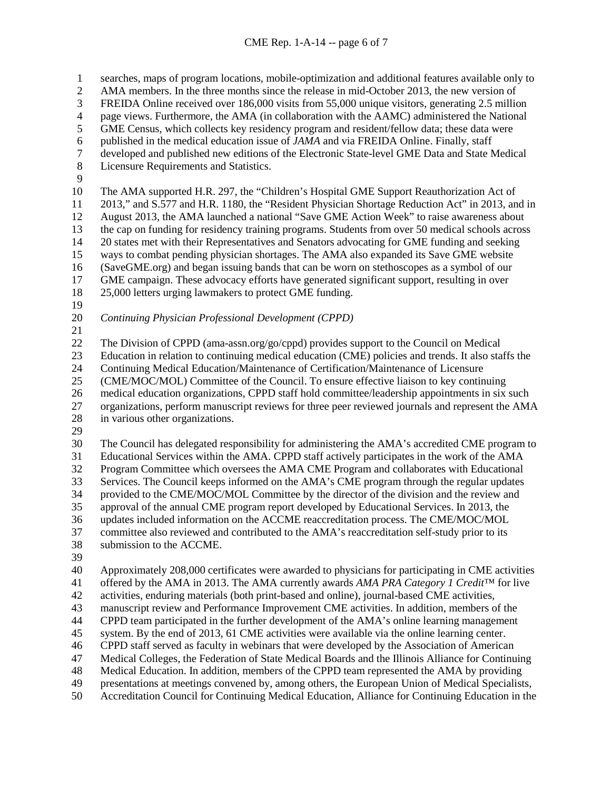searches, maps of program locations, mobile-optimization and additional features available only to AMA members. In the three months since the release in mid-October 2013, the new version of FREIDA Online received over 186,000 visits from 55,000 unique visitors, generating 2.5 million 4 page views. Furthermore, the AMA (in collaboration with the AAMC) administered the National<br>5 GME Census, which collects key residency program and resident/fellow data; these data were GME Census, which collects key residency program and resident/fellow data; these data were published in the medical education issue of *JAMA* and via FREIDA Online. Finally, staff developed and published new editions of the Electronic State-level GME Data and State Medical Licensure Requirements and Statistics. The AMA supported H.R. 297, the "Children's Hospital GME Support Reauthorization Act of 2013," and S.577 and H.R. 1180, the "Resident Physician Shortage Reduction Act" in 2013, and in August 2013, the AMA launched a national "Save GME Action Week" to raise awareness about 13 the cap on funding for residency training programs. Students from over 50 medical schools across 14 20 states met with their Representatives and Senators advocating for GME funding and seeking 20 states met with their Representatives and Senators advocating for GME funding and seeking ways to combat pending physician shortages. The AMA also expanded its Save GME website (SaveGME.org) and began issuing bands that can be worn on stethoscopes as a symbol of our GME campaign. These advocacy efforts have generated significant support, resulting in over 25,000 letters urging lawmakers to protect GME funding. *Continuing Physician Professional Development (CPPD)* The Division of CPPD (ama-assn.org/go/cppd) provides support to the Council on Medical Education in relation to continuing medical education (CME) policies and trends. It also staffs the Continuing Medical Education/Maintenance of Certification/Maintenance of Licensure (CME/MOC/MOL) Committee of the Council. To ensure effective liaison to key continuing medical education organizations, CPPD staff hold committee/leadership appointments in six such organizations, perform manuscript reviews for three peer reviewed journals and represent the AMA in various other organizations. The Council has delegated responsibility for administering the AMA's accredited CME program to Educational Services within the AMA. CPPD staff actively participates in the work of the AMA Program Committee which oversees the AMA CME Program and collaborates with Educational Services. The Council keeps informed on the AMA's CME program through the regular updates provided to the CME/MOC/MOL Committee by the director of the division and the review and approval of the annual CME program report developed by Educational Services. In 2013, the updates included information on the ACCME reaccreditation process. The CME/MOC/MOL committee also reviewed and contributed to the AMA's reaccreditation self-study prior to its submission to the ACCME. Approximately 208,000 certificates were awarded to physicians for participating in CME activities offered by the AMA in 2013. The AMA currently awards *AMA PRA Category 1 Credit*™ for live activities, enduring materials (both print-based and online), journal-based CME activities, manuscript review and Performance Improvement CME activities. In addition, members of the CPPD team participated in the further development of the AMA's online learning management system. By the end of 2013, 61 CME activities were available via the online learning center. CPPD staff served as faculty in webinars that were developed by the Association of American Medical Colleges, the Federation of State Medical Boards and the Illinois Alliance for Continuing Medical Education. In addition, members of the CPPD team represented the AMA by providing

- presentations at meetings convened by, among others, the European Union of Medical Specialists,
- Accreditation Council for Continuing Medical Education, Alliance for Continuing Education in the